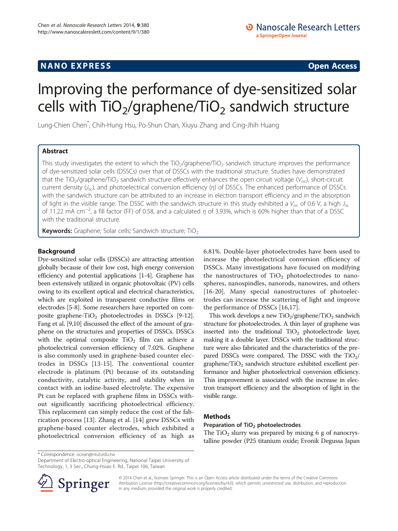## **NANO EXPRESS** Open Access and the set of the set of the set of the set of the set of the set of the set of the set of the set of the set of the set of the set of the set of the set of the set of the set of the set of the

# Improving the performance of dye-sensitized solar cells with  $TiO<sub>2</sub>/graphene/TiO<sub>2</sub>$  sandwich structure

Lung-Chien Chen\* , Chih-Hung Hsu, Po-Shun Chan, Xiuyu Zhang and Cing-Jhih Huang

## Abstract

This study investigates the extent to which the TiO<sub>2</sub>/graphene/TiO<sub>2</sub> sandwich structure improves the performance of dye-sensitized solar cells (DSSCs) over that of DSSCs with the traditional structure. Studies have demonstrated that the TiO<sub>2</sub>/graphene/TiO<sub>2</sub> sandwich structure effectively enhances the open circuit voltage ( $V_{\text{oc}}$ ), short-circuit current density  $(J_{\rm sc})$ , and photoelectrical conversion efficiency (η) of DSSCs. The enhanced performance of DSSCs with the sandwich structure can be attributed to an increase in electron transport efficiency and in the absorption of light in the visible range. The DSSC with the sandwich structure in this study exhibited a  $V_{\rm oc}$  of 0.6 V, a high  $J_{\rm sc}$ of 11.22 mA cm<sup>-2</sup>, a fill factor (FF) of 0.58, and a calculated  $\eta$  of 3.93%, which is 60% higher than that of a DSSC with the traditional structure.

Keywords: Graphene; Solar cells; Sandwich structure; TiO<sub>2</sub>

## Background

Dye-sensitized solar cells (DSSCs) are attracting attention globally because of their low cost, high energy conversion efficiency and potential applications [\[1](#page-5-0)-[4](#page-5-0)]. Graphene has been extensively utilized in organic photovoltaic (PV) cells owing to its excellent optical and electrical characteristics, which are exploited in transparent conductive films or electrodes [\[5](#page-5-0)[-8](#page-6-0)]. Some researchers have reported on com-posite graphene-TiO<sub>2</sub> photoelectrodes in DSSCs [\[9](#page-6-0)-[12](#page-6-0)]. Fang et al. [[9,10](#page-6-0)] discussed the effect of the amount of graphene on the structures and properties of DSSCs. DSSCs with the optimal composite  $TiO<sub>2</sub>$  film can achieve a photoelectrical conversion efficiency of 7.02%. Graphene is also commonly used in graphene-based counter electrodes in DSSCs [[13-15](#page-6-0)]. The conventional counter electrode is platinum (Pt) because of its outstanding conductivity, catalytic activity, and stability when in contact with an iodine-based electrolyte. The expensive Pt can be replaced with graphene films in DSSCs without significantly sacrificing photoelectrical efficiency. This replacement can simply reduce the cost of the fabrication process [[13\]](#page-6-0). Zhang et al. [[14\]](#page-6-0) grew DSSCs with graphene-based counter electrodes, which exhibited a photoelectrical conversion efficiency of as high as

6.81%. Double-layer photoelectrodes have been used to increase the photoelectrical conversion efficiency of DSSCs. Many investigations have focused on modifying the nanostructures of  $TiO<sub>2</sub>$  photoelectrodes to nanospheres, nanospindles, nanorods, nanowires, and others [[16](#page-6-0)-[20\]](#page-6-0). Many special nanostructures of photoelectrodes can increase the scattering of light and improve the performance of DSSCs [[16,17](#page-6-0)].

This work develops a new  $TiO<sub>2</sub>/graphene/TiO<sub>2</sub>$  sandwich structure for photoelectrodes. A thin layer of graphene was inserted into the traditional  $TiO<sub>2</sub>$  photoelectrode layer, making it a double layer. DSSCs with the traditional structure were also fabricated and the characteristics of the prepared DSSCs were compared. The DSSC with the  $TiO<sub>2</sub>/$ graphene/ $TiO<sub>2</sub>$  sandwich structure exhibited excellent performance and higher photoelectrical conversion efficiency. This improvement is associated with the increase in electron transport efficiency and the absorption of light in the visible range.

## **Methods**

### Preparation of TiO<sub>2</sub> photoelectrodes

The  $TiO<sub>2</sub>$  slurry was prepared by mixing 6 g of nanocrystalline powder (P25 titanium oxide; Evonik Degussa Japan

\* Correspondence: [ocean@ntut.edu.tw](mailto:ocean@ntut.edu.tw)

Department of Electro-optical Engineering, National Taipei University of Technology, 1, 3 Sec., Chung-Hsiao E. Rd., Taipei 106, Taiwan



© 2014 Chen et al.; licensee Springer. This is an Open Access article distributed under the terms of the Creative Commons Attribution License [\(http://creativecommons.org/licenses/by/4.0\)](http://creativecommons.org/licenses/by/4.0), which permits unrestricted use, distribution, and reproduction in any medium, provided the original work is properly credited.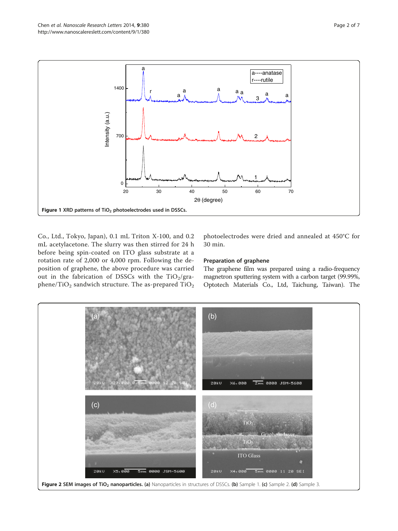<span id="page-1-0"></span>

Co., Ltd., Tokyo, Japan), 0.1 mL Triton X-100, and 0.2 mL acetylacetone. The slurry was then stirred for 24 h before being spin-coated on ITO glass substrate at a rotation rate of 2,000 or 4,000 rpm. Following the deposition of graphene, the above procedure was carried out in the fabrication of DSSCs with the TiO<sub>2</sub>/graphene/TiO<sub>2</sub> sandwich structure. The as-prepared  $TiO<sub>2</sub>$ 

photoelectrodes were dried and annealed at 450°C for 30 min.

#### Preparation of graphene

The graphene film was prepared using a radio-frequency magnetron sputtering system with a carbon target (99.99%, Optotech Materials Co., Ltd, Taichung, Taiwan). The

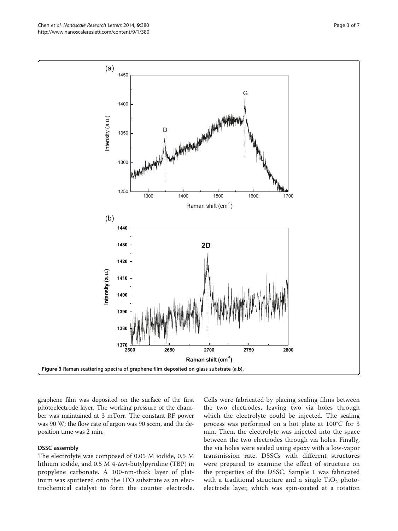graphene film was deposited on the surface of the first photoelectrode layer. The working pressure of the chamber was maintained at 3 mTorr. The constant RF power was 90 W; the flow rate of argon was 90 sccm, and the deposition time was 2 min.

#### DSSC assembly

The electrolyte was composed of 0.05 M iodide, 0.5 M lithium iodide, and 0.5 M 4-tert-butylpyridine (TBP) in propylene carbonate. A 100-nm-thick layer of platinum was sputtered onto the ITO substrate as an electrochemical catalyst to form the counter electrode.

Cells were fabricated by placing sealing films between the two electrodes, leaving two via holes through which the electrolyte could be injected. The sealing process was performed on a hot plate at 100°C for 3 min. Then, the electrolyte was injected into the space between the two electrodes through via holes. Finally, the via holes were sealed using epoxy with a low-vapor transmission rate. DSSCs with different structures were prepared to examine the effect of structure on the properties of the DSSC. Sample 1 was fabricated with a traditional structure and a single  $TiO<sub>2</sub>$  photoelectrode layer, which was spin-coated at a rotation

<span id="page-2-0"></span>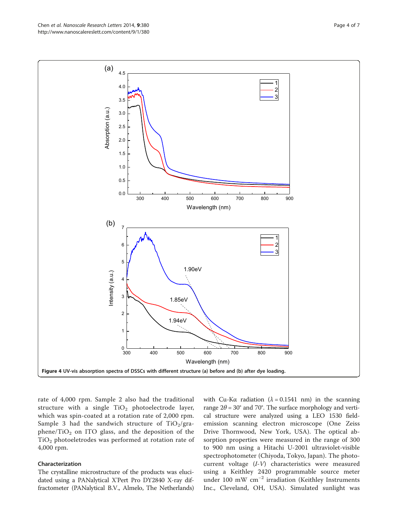rate of 4,000 rpm. Sample 2 also had the traditional structure with a single  $TiO<sub>2</sub>$  photoelectrode layer, which was spin-coated at a rotation rate of 2,000 rpm. Sample 3 had the sandwich structure of  $TiO<sub>2</sub>/gra$ phene/ $TiO<sub>2</sub>$  on ITO glass, and the deposition of the TiO2 photoeletrodes was performed at rotation rate of 4,000 rpm.

#### Characterization

The crystalline microstructure of the products was elucidated using a PANalytical X'Pert Pro DY2840 X-ray diffractometer (PANalytical B.V., Almelo, The Netherlands)

with Cu-K $\alpha$  radiation ( $\lambda = 0.1541$  nm) in the scanning range  $2\theta = 30^{\circ}$  and 70°. The surface morphology and vertical structure were analyzed using a LEO 1530 fieldemission scanning electron microscope (One Zeiss Drive Thornwood, New York, USA). The optical absorption properties were measured in the range of 300 to 900 nm using a Hitachi U-2001 ultraviolet-visible spectrophotometer (Chiyoda, Tokyo, Japan). The photocurrent voltage (I-V) characteristics were measured using a Keithley 2420 programmable source meter under 100 mW cm−<sup>2</sup> irradiation (Keithley Instruments Inc., Cleveland, OH, USA). Simulated sunlight was

<span id="page-3-0"></span>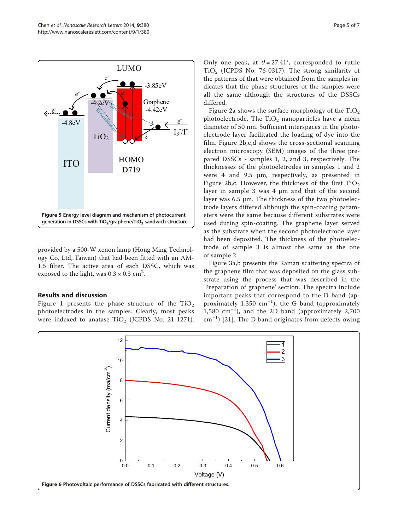<span id="page-4-0"></span>

provided by a 500-W xenon lamp (Hong Ming Technology Co, Ltd, Taiwan) that had been fitted with an AM-1.5 filter. The active area of each DSSC, which was exposed to the light, was 0.3  $\times$  0.3 cm<sup>2</sup>.

#### Results and discussion

Figure [1](#page-1-0) presents the phase structure of the  $TiO<sub>2</sub>$ photoelectrodes in the samples. Clearly, most peaks were indexed to anatase  $TiO<sub>2</sub>$  (JCPDS No. 21-1271).

Only one peak, at  $\theta = 27.41^{\circ}$ , corresponded to rutile  $TiO<sub>2</sub>$  (JCPDS No. 76-0317). The strong similarity of the patterns of that were obtained from the samples indicates that the phase structures of the samples were all the same although the structures of the DSSCs differed.

Figure [2](#page-1-0)a shows the surface morphology of the  $TiO<sub>2</sub>$ photoelectrode. The  $TiO<sub>2</sub>$  nanoparticles have a mean diameter of 50 nm. Sufficient interspaces in the photoelectrode layer facilitated the loading of dye into the film. Figure [2](#page-1-0)b,c,d shows the cross-sectional scanning electron microscopy (SEM) images of the three prepared DSSCs - samples 1, 2, and 3, respectively. The thicknesses of the photoeletrodes in samples 1 and 2 were 4 and 9.5 μm, respectively, as presented in Figure [2](#page-1-0)b,c. However, the thickness of the first  $TiO<sub>2</sub>$ layer in sample 3 was 4 μm and that of the second layer was 6.5 μm. The thickness of the two photoelectrode layers differed although the spin-coating parameters were the same because different substrates were used during spin-coating. The graphene layer served as the substrate when the second photoelectrode layer had been deposited. The thickness of the photoelectrode of sample 3 is almost the same as the one of sample 2.

Figure [3a](#page-2-0),b presents the Raman scattering spectra of the graphene film that was deposited on the glass substrate using the process that was described in the 'Preparation of graphene' section. The spectra include important peaks that correspond to the D band (approximately 1,350 cm<sup>-1</sup>), the G band (approximately 1,580 cm−<sup>1</sup> ), and the 2D band (approximately 2,700 cm−<sup>1</sup> ) [[21\]](#page-6-0). The D band originates from defects owing

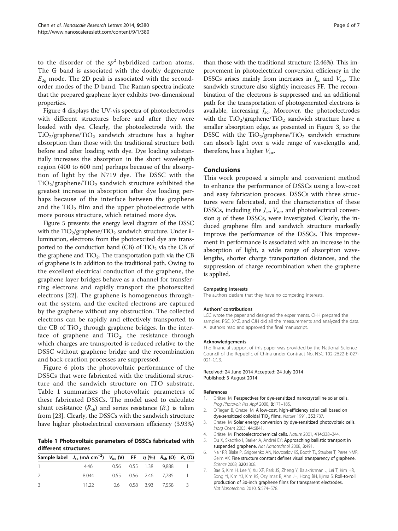<span id="page-5-0"></span>to the disorder of the  $sp^2$ -hybridized carbon atoms. The G band is associated with the doubly degenerate  $E_{2g}$  mode. The 2D peak is associated with the secondorder modes of the D band. The Raman spectra indicate that the prepared graphene layer exhibits two-dimensional properties.

Figure [4](#page-3-0) displays the UV-vis spectra of photoelectrodes with different structures before and after they were loaded with dye. Clearly, the photoelectrode with the  $TiO<sub>2</sub>/graphene/TiO<sub>2</sub>$  sandwich structure has a higher absorption than those with the traditional structure both before and after loading with dye. Dye loading substantially increases the absorption in the short wavelength region (400 to 600 nm) perhaps because of the absorption of light by the N719 dye. The DSSC with the  $TiO<sub>2</sub>/graphene/TiO<sub>2</sub>$  sandwich structure exhibited the greatest increase in absorption after dye loading perhaps because of the interface between the graphene and the  $TiO<sub>2</sub>$  film and the upper photoelectrode with more porous structure, which retained more dye.

Figure [5](#page-4-0) presents the energy level diagram of the DSSC with the  $TiO<sub>2</sub>/graphene/TiO<sub>2</sub>$  sandwich structure. Under illumination, electrons from the photoexcited dye are transported to the conduction band (CB) of  $TiO<sub>2</sub>$  via the CB of the graphene and  $TiO<sub>2</sub>$ . The transportation path via the CB of graphene is in addition to the traditional path. Owing to the excellent electrical conduction of the graphene, the graphene layer bridges behave as a channel for transferring electrons and rapidly transport the photoexcited electrons [\[22](#page-6-0)]. The graphene is homogeneous throughout the system, and the excited electrons are captured by the graphene without any obstruction. The collected electrons can be rapidly and effectively transported to the CB of  $TiO<sub>2</sub>$  through graphene bridges. In the interface of graphene and  $TiO<sub>2</sub>$ , the resistance through which charges are transported is reduced relative to the DSSC without graphene bridge and the recombination and back-reaction processes are suppressed.

Figure [6](#page-4-0) plots the photovoltaic performance of the DSSCs that were fabricated with the traditional structure and the sandwich structure on ITO substrate. Table 1 summarizes the photovoltaic parameters of these fabricated DSSCs. The model used to calculate shunt resistance  $(R_{sh})$  and series resistance  $(R_s)$  is taken from [\[23\]](#page-6-0). Clearly, the DSSCs with the sandwich structure have higher photoelectrical conversion efficiency (3.93%)

Table 1 Photovoltaic parameters of DSSCs fabricated with different structures

| Sample label $J_{sc}$ (mA cm <sup>-2</sup> ) $V_{oc}$ (V) FF $\eta$ (%) $R_{sh}$ ( $\Omega$ ) $R_s$ ( $\Omega$ ) |  |                      |                     |     |
|------------------------------------------------------------------------------------------------------------------|--|----------------------|---------------------|-----|
| 4.46                                                                                                             |  | 0.56 0.55 1.38 9.888 |                     |     |
| 8.044                                                                                                            |  | 0.55 0.56 2.46 7.785 |                     |     |
| 11 22                                                                                                            |  |                      | 0.6 0.58 3.93 7.558 | - 3 |

than those with the traditional structure (2.46%). This improvement in photoelectrical conversion efficiency in the DSSCs arises mainly from increases in  $J_{\rm sc}$  and  $V_{\rm oc}$ . The sandwich structure also slightly increases FF. The recombination of the electrons is suppressed and an additional path for the transportation of photogenerated electrons is available, increasing  $J_{\rm sc}$ . Moreover, the photoelectrodes with the  $TiO<sub>2</sub>/graphene/TiO<sub>2</sub>$  sandwich structure have a smaller absorption edge, as presented in Figure [3,](#page-2-0) so the DSSC with the  $TiO<sub>2</sub>/graphene/TiO<sub>2</sub>$  sandwich structure can absorb light over a wide range of wavelengths and, therefore, has a higher  $V_{\text{oc}}$ .

#### Conclusions

This work proposed a simple and convenient method to enhance the performance of DSSCs using a low-cost and easy fabrication process. DSSCs with three structures were fabricated, and the characteristics of these DSSCs, including the  $J_{\rm sc}$ ,  $V_{\rm oc}$  and photoelectrical conversion  $\eta$  of these DSSCs, were investigated. Clearly, the induced graphene film and sandwich structure markedly improve the performance of the DSSCs. This improvement in performance is associated with an increase in the absorption of light, a wide range of absorption wavelengths, shorter charge transportation distances, and the suppression of charge recombination when the graphene is applied.

#### Competing interests

The authors declare that they have no competing interests.

#### Authors' contributions

LCC wrote the paper and designed the experiments. CHH prepared the samples. PSC, XYZ, and CJH did all the measurements and analyzed the data. All authors read and approved the final manuscript.

#### Acknowledgements

The financial support of this paper was provided by the National Science Council of the Republic of China under Contract No. NSC 102-2622-E-027- 021-CC3.

Received: 24 June 2014 Accepted: 24 July 2014 Published: 3 August 2014

#### References

- 1. Grätzel M: Perspectives for dye-sensitized nanocrystalline solar cells. Prog Photovolt Res Appl 2000, 8:171–185.
- 2. O'Regan B, Gratzel M: A low-cost, high-efficiency solar cell based on dye-sensitized colloidal TiO<sub>2</sub> films. Nature 1991, 353:737.
- 3. Gratzel M: Solar energy conversion by dye-sensitized photovoltaic cells. Inorg Chem 2005, 44:6841.
- 4. Grätzel M: Photoelectrochemical cells. Nature 2001, 414:338–344.
- 5. Du X, Skachko I, Barker A, Andrei EY: Approaching ballistic transport in suspended graphene. Nat Nanotechnol 2008, 3:491.
- 6. Nair RR, Blake P, Grigorenko AN, Novoselov KS, Booth TJ, Stauber T, Peres NMR, Geim AK: Fine structure constant defines visual transparency of graphene. Science 2008, 320:1308.
- 7. Bae S, Kim H, Lee Y, Xu XF, Park JS, Zheng Y, Balakrishnan J, Lei T, Kim HR, Song YI, Kim YJ, Kim KS, Ozyilmaz B, Ahn JH, Hong BH, Iijima S: Roll-to-roll production of 30-inch graphene films for transparent electrodes. Nat Nanotechnol 2010, 5:574–578.